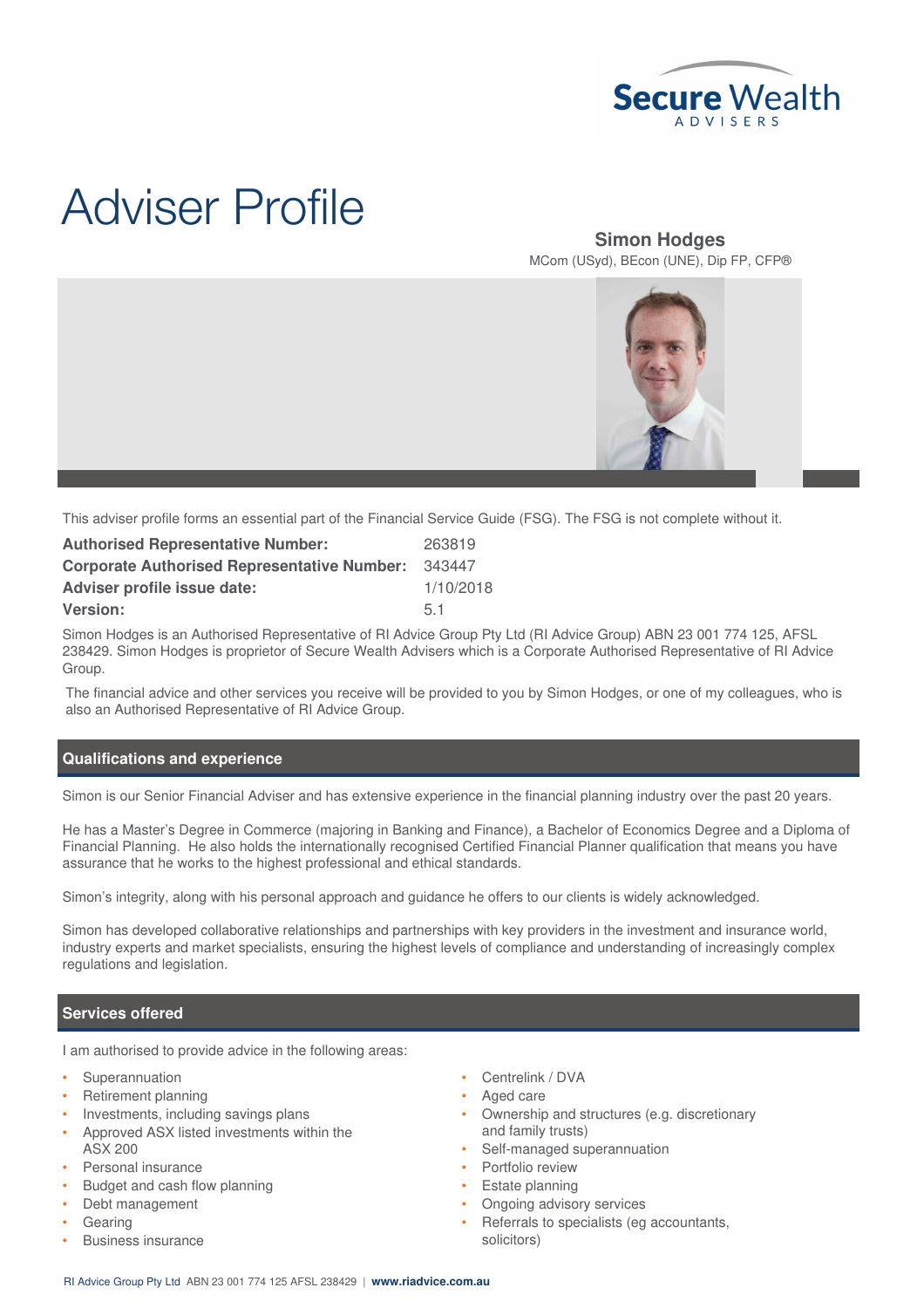

# Adviser Profile

# **Simon Hodges** MCom (USyd), BEcon (UNE), Dip FP, CFP®



This adviser profile forms an essential part of the Financial Service Guide (FSG). The FSG is not complete without it.

| <b>Authorised Representative Number:</b>           | 263819    |
|----------------------------------------------------|-----------|
| <b>Corporate Authorised Representative Number:</b> | 343447    |
| <b>Adviser profile issue date:</b>                 | 1/10/2018 |
| <b>Version:</b>                                    | 51        |

Simon Hodges is an Authorised Representative of RI Advice Group Pty Ltd (RI Advice Group) ABN 23 001 774 125, AFSL 238429. Simon Hodges is proprietor of Secure Wealth Advisers which is a Corporate Authorised Representative of RI Advice Group.

The financial advice and other services you receive will be provided to you by Simon Hodges, or one of my colleagues, who is also an Authorised Representative of RI Advice Group.

## **Qualifications and experience**

Simon is our Senior Financial Adviser and has extensive experience in the financial planning industry over the past 20 years.

He has a Master's Degree in Commerce (majoring in Banking and Finance), a Bachelor of Economics Degree and a Diploma of Financial Planning. He also holds the internationally recognised Certified Financial Planner qualification that means you have assurance that he works to the highest professional and ethical standards.

Simon's integrity, along with his personal approach and guidance he offers to our clients is widely acknowledged.

Simon has developed collaborative relationships and partnerships with key providers in the investment and insurance world, industry experts and market specialists, ensuring the highest levels of compliance and understanding of increasingly complex regulations and legislation.

# **Services offered**

I am authorised to provide advice in the following areas:

- **Superannuation**
- Retirement planning
- Investments, including savings plans
- Approved ASX listed investments within the ASX 200
- Personal insurance
- Budget and cash flow planning
- Debt management
- **Gearing**
- Business insurance
- Centrelink / DVA
- Aged care
- Ownership and structures (e.g. discretionary and family trusts)
- Self-managed superannuation
- Portfolio review
- Estate planning
- Ongoing advisory services
- Referrals to specialists (eg accountants, solicitors)